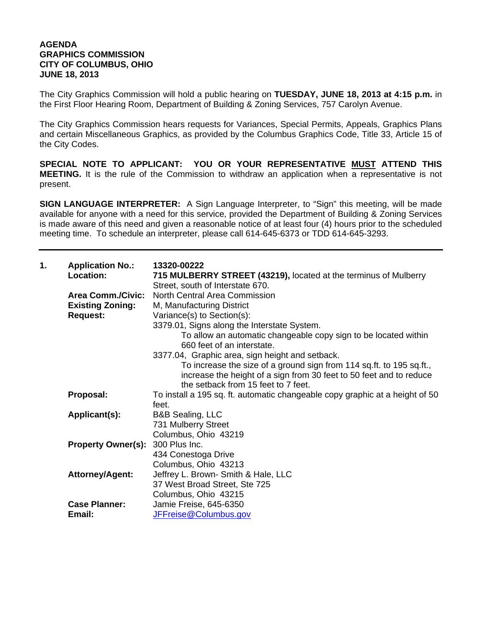## **AGENDA GRAPHICS COMMISSION CITY OF COLUMBUS, OHIO JUNE 18, 2013**

The City Graphics Commission will hold a public hearing on **TUESDAY, JUNE 18, 2013 at 4:15 p.m.** in the First Floor Hearing Room, Department of Building & Zoning Services, 757 Carolyn Avenue.

The City Graphics Commission hears requests for Variances, Special Permits, Appeals, Graphics Plans and certain Miscellaneous Graphics, as provided by the Columbus Graphics Code, Title 33, Article 15 of the City Codes.

**SPECIAL NOTE TO APPLICANT: YOU OR YOUR REPRESENTATIVE MUST ATTEND THIS MEETING.** It is the rule of the Commission to withdraw an application when a representative is not present.

**SIGN LANGUAGE INTERPRETER:** A Sign Language Interpreter, to "Sign" this meeting, will be made available for anyone with a need for this service, provided the Department of Building & Zoning Services is made aware of this need and given a reasonable notice of at least four (4) hours prior to the scheduled meeting time. To schedule an interpreter, please call 614-645-6373 or TDD 614-645-3293.

| 1. | <b>Application No.:</b><br>Location: | 13320-00222<br>715 MULBERRY STREET (43219), located at the terminus of Mulberry<br>Street, south of Interstate 670. |
|----|--------------------------------------|---------------------------------------------------------------------------------------------------------------------|
|    | <b>Area Comm./Civic:</b>             | <b>North Central Area Commission</b>                                                                                |
|    | <b>Existing Zoning:</b>              | M, Manufacturing District                                                                                           |
|    | <b>Request:</b>                      | Variance(s) to Section(s):                                                                                          |
|    |                                      | 3379.01, Signs along the Interstate System.                                                                         |
|    |                                      | To allow an automatic changeable copy sign to be located within<br>660 feet of an interstate.                       |
|    |                                      | 3377.04, Graphic area, sign height and setback.                                                                     |
|    |                                      | To increase the size of a ground sign from 114 sq.ft. to 195 sq.ft.,                                                |
|    |                                      | increase the height of a sign from 30 feet to 50 feet and to reduce                                                 |
|    |                                      | the setback from 15 feet to 7 feet.                                                                                 |
|    | Proposal:                            | To install a 195 sq. ft. automatic changeable copy graphic at a height of 50                                        |
|    |                                      | feet.                                                                                                               |
|    | Applicant(s):                        | <b>B&amp;B Sealing, LLC</b>                                                                                         |
|    |                                      | 731 Mulberry Street                                                                                                 |
|    |                                      | Columbus, Ohio 43219                                                                                                |
|    | <b>Property Owner(s):</b>            | 300 Plus Inc.                                                                                                       |
|    |                                      | 434 Conestoga Drive                                                                                                 |
|    |                                      | Columbus, Ohio 43213                                                                                                |
|    | <b>Attorney/Agent:</b>               | Jeffrey L. Brown- Smith & Hale, LLC                                                                                 |
|    |                                      | 37 West Broad Street, Ste 725                                                                                       |
|    |                                      | Columbus, Ohio 43215                                                                                                |
|    | <b>Case Planner:</b>                 | Jamie Freise, 645-6350                                                                                              |
|    | Email:                               | JFFreise@Columbus.gov                                                                                               |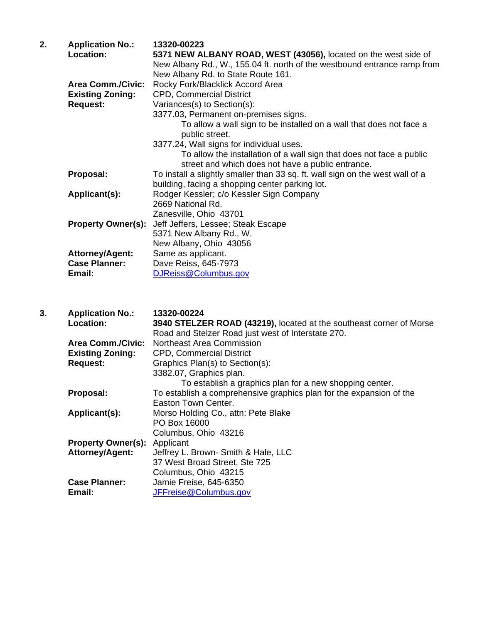| 2. | <b>Application No.:</b><br>Location: | 13320-00223<br>5371 NEW ALBANY ROAD, WEST (43056), located on the west side of                                            |
|----|--------------------------------------|---------------------------------------------------------------------------------------------------------------------------|
|    |                                      |                                                                                                                           |
|    |                                      | New Albany Rd., W., 155.04 ft. north of the westbound entrance ramp from                                                  |
|    |                                      | New Albany Rd. to State Route 161.                                                                                        |
|    | <b>Area Comm./Civic:</b>             | Rocky Fork/Blacklick Accord Area                                                                                          |
|    | <b>Existing Zoning:</b>              | <b>CPD, Commercial District</b>                                                                                           |
|    | <b>Request:</b>                      | Variances(s) to Section(s):                                                                                               |
|    |                                      | 3377.03, Permanent on-premises signs.                                                                                     |
|    |                                      | To allow a wall sign to be installed on a wall that does not face a<br>public street.                                     |
|    |                                      | 3377.24, Wall signs for individual uses.                                                                                  |
|    |                                      | To allow the installation of a wall sign that does not face a public<br>street and which does not have a public entrance. |
|    | Proposal:                            | To install a slightly smaller than 33 sq. ft. wall sign on the west wall of a                                             |
|    |                                      | building, facing a shopping center parking lot.                                                                           |
|    | Applicant(s):                        | Rodger Kessler; c/o Kessler Sign Company                                                                                  |
|    |                                      | 2669 National Rd.                                                                                                         |
|    |                                      | Zanesville, Ohio 43701                                                                                                    |
|    | <b>Property Owner(s):</b>            | Jeff Jeffers, Lessee; Steak Escape                                                                                        |
|    |                                      | 5371 New Albany Rd., W.                                                                                                   |
|    |                                      | New Albany, Ohio 43056                                                                                                    |
|    | <b>Attorney/Agent:</b>               | Same as applicant.                                                                                                        |
|    | <b>Case Planner:</b>                 | Dave Reiss, 645-7973                                                                                                      |
|    | Email:                               | DJReiss@Columbus.gov                                                                                                      |
|    |                                      |                                                                                                                           |

| 3. | <b>Application No.:</b>   | 13320-00224                                                         |
|----|---------------------------|---------------------------------------------------------------------|
|    | <b>Location:</b>          | 3940 STELZER ROAD (43219), located at the southeast corner of Morse |
|    |                           | Road and Stelzer Road just west of Interstate 270.                  |
|    | Area Comm./Civic:         | Northeast Area Commission                                           |
|    | <b>Existing Zoning:</b>   | <b>CPD, Commercial District</b>                                     |
|    | <b>Request:</b>           | Graphics Plan(s) to Section(s):                                     |
|    |                           | 3382.07, Graphics plan.                                             |
|    |                           | To establish a graphics plan for a new shopping center.             |
|    | Proposal:                 | To establish a comprehensive graphics plan for the expansion of the |
|    |                           | Easton Town Center.                                                 |
|    | Applicant(s):             | Morso Holding Co., attn: Pete Blake                                 |
|    |                           | PO Box 16000                                                        |
|    |                           | Columbus, Ohio 43216                                                |
|    | <b>Property Owner(s):</b> | Applicant                                                           |
|    | Attorney/Agent:           | Jeffrey L. Brown- Smith & Hale, LLC                                 |
|    |                           | 37 West Broad Street, Ste 725                                       |
|    |                           | Columbus, Ohio 43215                                                |
|    | <b>Case Planner:</b>      | Jamie Freise, 645-6350                                              |
|    | Email:                    | JFFreise@Columbus.gov                                               |